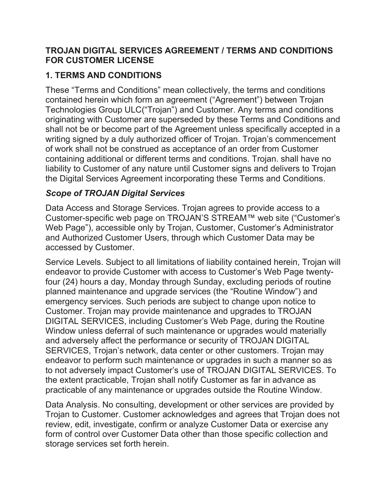#### TROJAN DIGITAL SERVICES AGREEMENT / TERMS AND CONDITIONS FOR CUSTOMER LICENSE

## 1. TERMS AND CONDITIONS

These "Terms and Conditions" mean collectively, the terms and conditions contained herein which form an agreement ("Agreement") between Trojan Technologies Group ULC("Trojan") and Customer. Any terms and conditions originating with Customer are superseded by these Terms and Conditions and shall not be or become part of the Agreement unless specifically accepted in a writing signed by a duly authorized officer of Trojan. Trojan's commencement of work shall not be construed as acceptance of an order from Customer containing additional or different terms and conditions. Trojan. shall have no liability to Customer of any nature until Customer signs and delivers to Trojan the Digital Services Agreement incorporating these Terms and Conditions.

## Scope of TROJAN Digital Services

Data Access and Storage Services. Trojan agrees to provide access to a Customer-specific web page on TROJAN'S STREAM™ web site ("Customer's Web Page"), accessible only by Trojan, Customer, Customer's Administrator and Authorized Customer Users, through which Customer Data may be accessed by Customer.

Service Levels. Subject to all limitations of liability contained herein, Trojan will endeavor to provide Customer with access to Customer's Web Page twentyfour (24) hours a day, Monday through Sunday, excluding periods of routine planned maintenance and upgrade services (the "Routine Window") and emergency services. Such periods are subject to change upon notice to Customer. Trojan may provide maintenance and upgrades to TROJAN DIGITAL SERVICES, including Customer's Web Page, during the Routine Window unless deferral of such maintenance or upgrades would materially and adversely affect the performance or security of TROJAN DIGITAL SERVICES, Trojan's network, data center or other customers. Trojan may endeavor to perform such maintenance or upgrades in such a manner so as to not adversely impact Customer's use of TROJAN DIGITAL SERVICES. To the extent practicable, Trojan shall notify Customer as far in advance as practicable of any maintenance or upgrades outside the Routine Window.

Data Analysis. No consulting, development or other services are provided by Trojan to Customer. Customer acknowledges and agrees that Trojan does not review, edit, investigate, confirm or analyze Customer Data or exercise any form of control over Customer Data other than those specific collection and storage services set forth herein.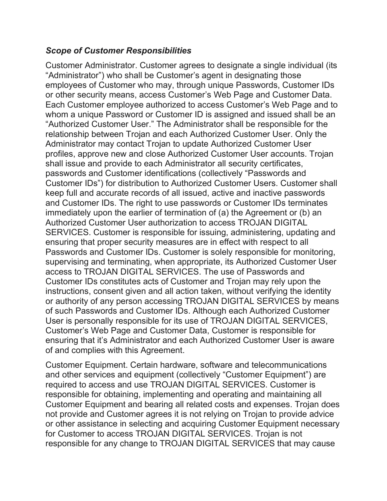#### Scope of Customer Responsibilities

Customer Administrator. Customer agrees to designate a single individual (its "Administrator") who shall be Customer's agent in designating those employees of Customer who may, through unique Passwords, Customer IDs or other security means, access Customer's Web Page and Customer Data. Each Customer employee authorized to access Customer's Web Page and to whom a unique Password or Customer ID is assigned and issued shall be an "Authorized Customer User." The Administrator shall be responsible for the relationship between Trojan and each Authorized Customer User. Only the Administrator may contact Trojan to update Authorized Customer User profiles, approve new and close Authorized Customer User accounts. Trojan shall issue and provide to each Administrator all security certificates, passwords and Customer identifications (collectively "Passwords and Customer IDs") for distribution to Authorized Customer Users. Customer shall keep full and accurate records of all issued, active and inactive passwords and Customer IDs. The right to use passwords or Customer IDs terminates immediately upon the earlier of termination of (a) the Agreement or (b) an Authorized Customer User authorization to access TROJAN DIGITAL SERVICES. Customer is responsible for issuing, administering, updating and ensuring that proper security measures are in effect with respect to all Passwords and Customer IDs. Customer is solely responsible for monitoring, supervising and terminating, when appropriate, its Authorized Customer User access to TROJAN DIGITAL SERVICES. The use of Passwords and Customer IDs constitutes acts of Customer and Trojan may rely upon the instructions, consent given and all action taken, without verifying the identity or authority of any person accessing TROJAN DIGITAL SERVICES by means of such Passwords and Customer IDs. Although each Authorized Customer User is personally responsible for its use of TROJAN DIGITAL SERVICES, Customer's Web Page and Customer Data, Customer is responsible for ensuring that it's Administrator and each Authorized Customer User is aware of and complies with this Agreement.

Customer Equipment. Certain hardware, software and telecommunications and other services and equipment (collectively "Customer Equipment") are required to access and use TROJAN DIGITAL SERVICES. Customer is responsible for obtaining, implementing and operating and maintaining all Customer Equipment and bearing all related costs and expenses. Trojan does not provide and Customer agrees it is not relying on Trojan to provide advice or other assistance in selecting and acquiring Customer Equipment necessary for Customer to access TROJAN DIGITAL SERVICES. Trojan is not responsible for any change to TROJAN DIGITAL SERVICES that may cause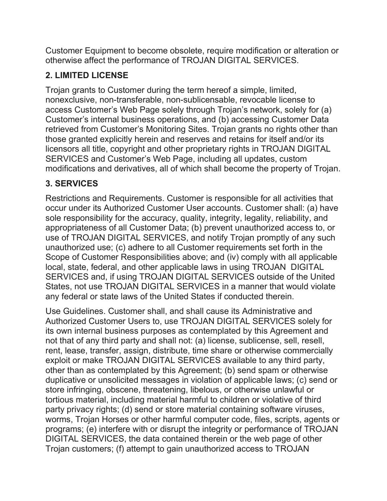Customer Equipment to become obsolete, require modification or alteration or otherwise affect the performance of TROJAN DIGITAL SERVICES.

# 2. LIMITED LICENSE

Trojan grants to Customer during the term hereof a simple, limited, nonexclusive, non-transferable, non-sublicensable, revocable license to access Customer's Web Page solely through Trojan's network, solely for (a) Customer's internal business operations, and (b) accessing Customer Data retrieved from Customer's Monitoring Sites. Trojan grants no rights other than those granted explicitly herein and reserves and retains for itself and/or its licensors all title, copyright and other proprietary rights in TROJAN DIGITAL SERVICES and Customer's Web Page, including all updates, custom modifications and derivatives, all of which shall become the property of Trojan.

## 3. SERVICES

Restrictions and Requirements. Customer is responsible for all activities that occur under its Authorized Customer User accounts. Customer shall: (a) have sole responsibility for the accuracy, quality, integrity, legality, reliability, and appropriateness of all Customer Data; (b) prevent unauthorized access to, or use of TROJAN DIGITAL SERVICES, and notify Trojan promptly of any such unauthorized use; (c) adhere to all Customer requirements set forth in the Scope of Customer Responsibilities above; and (iv) comply with all applicable local, state, federal, and other applicable laws in using TROJAN DIGITAL SERVICES and, if using TROJAN DIGITAL SERVICES outside of the United States, not use TROJAN DIGITAL SERVICES in a manner that would violate any federal or state laws of the United States if conducted therein.

Use Guidelines. Customer shall, and shall cause its Administrative and Authorized Customer Users to, use TROJAN DIGITAL SERVICES solely for its own internal business purposes as contemplated by this Agreement and not that of any third party and shall not: (a) license, sublicense, sell, resell, rent, lease, transfer, assign, distribute, time share or otherwise commercially exploit or make TROJAN DIGITAL SERVICES available to any third party, other than as contemplated by this Agreement; (b) send spam or otherwise duplicative or unsolicited messages in violation of applicable laws; (c) send or store infringing, obscene, threatening, libelous, or otherwise unlawful or tortious material, including material harmful to children or violative of third party privacy rights; (d) send or store material containing software viruses, worms, Trojan Horses or other harmful computer code, files, scripts, agents or programs; (e) interfere with or disrupt the integrity or performance of TROJAN DIGITAL SERVICES, the data contained therein or the web page of other Trojan customers; (f) attempt to gain unauthorized access to TROJAN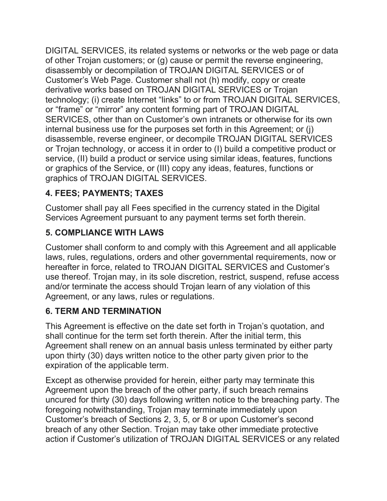DIGITAL SERVICES, its related systems or networks or the web page or data of other Trojan customers; or (g) cause or permit the reverse engineering, disassembly or decompilation of TROJAN DIGITAL SERVICES or of Customer's Web Page. Customer shall not (h) modify, copy or create derivative works based on TROJAN DIGITAL SERVICES or Trojan technology; (i) create Internet "links" to or from TROJAN DIGITAL SERVICES, or "frame" or "mirror" any content forming part of TROJAN DIGITAL SERVICES, other than on Customer's own intranets or otherwise for its own internal business use for the purposes set forth in this Agreement; or (j) disassemble, reverse engineer, or decompile TROJAN DIGITAL SERVICES or Trojan technology, or access it in order to (I) build a competitive product or service, (II) build a product or service using similar ideas, features, functions or graphics of the Service, or (III) copy any ideas, features, functions or graphics of TROJAN DIGITAL SERVICES.

# 4. FEES; PAYMENTS; TAXES

Customer shall pay all Fees specified in the currency stated in the Digital Services Agreement pursuant to any payment terms set forth therein.

# 5. COMPLIANCE WITH LAWS

Customer shall conform to and comply with this Agreement and all applicable laws, rules, regulations, orders and other governmental requirements, now or hereafter in force, related to TROJAN DIGITAL SERVICES and Customer's use thereof. Trojan may, in its sole discretion, restrict, suspend, refuse access and/or terminate the access should Trojan learn of any violation of this Agreement, or any laws, rules or regulations.

# 6. TERM AND TERMINATION

This Agreement is effective on the date set forth in Trojan's quotation, and shall continue for the term set forth therein. After the initial term, this Agreement shall renew on an annual basis unless terminated by either party upon thirty (30) days written notice to the other party given prior to the expiration of the applicable term.

Except as otherwise provided for herein, either party may terminate this Agreement upon the breach of the other party, if such breach remains uncured for thirty (30) days following written notice to the breaching party. The foregoing notwithstanding, Trojan may terminate immediately upon Customer's breach of Sections 2, 3, 5, or 8 or upon Customer's second breach of any other Section. Trojan may take other immediate protective action if Customer's utilization of TROJAN DIGITAL SERVICES or any related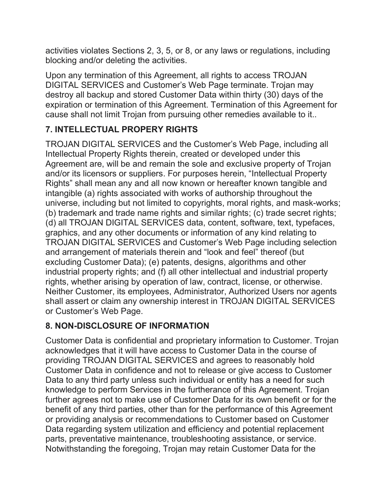activities violates Sections 2, 3, 5, or 8, or any laws or regulations, including blocking and/or deleting the activities.

Upon any termination of this Agreement, all rights to access TROJAN DIGITAL SERVICES and Customer's Web Page terminate. Trojan may destroy all backup and stored Customer Data within thirty (30) days of the expiration or termination of this Agreement. Termination of this Agreement for cause shall not limit Trojan from pursuing other remedies available to it..

# 7. INTELLECTUAL PROPERY RIGHTS

TROJAN DIGITAL SERVICES and the Customer's Web Page, including all Intellectual Property Rights therein, created or developed under this Agreement are, will be and remain the sole and exclusive property of Trojan and/or its licensors or suppliers. For purposes herein, "Intellectual Property Rights" shall mean any and all now known or hereafter known tangible and intangible (a) rights associated with works of authorship throughout the universe, including but not limited to copyrights, moral rights, and mask-works; (b) trademark and trade name rights and similar rights; (c) trade secret rights; (d) all TROJAN DIGITAL SERVICES data, content, software, text, typefaces, graphics, and any other documents or information of any kind relating to TROJAN DIGITAL SERVICES and Customer's Web Page including selection and arrangement of materials therein and "look and feel" thereof (but excluding Customer Data); (e) patents, designs, algorithms and other industrial property rights; and (f) all other intellectual and industrial property rights, whether arising by operation of law, contract, license, or otherwise. Neither Customer, its employees, Administrator, Authorized Users nor agents shall assert or claim any ownership interest in TROJAN DIGITAL SERVICES or Customer's Web Page.

#### 8. NON-DISCLOSURE OF INFORMATION

Customer Data is confidential and proprietary information to Customer. Trojan acknowledges that it will have access to Customer Data in the course of providing TROJAN DIGITAL SERVICES and agrees to reasonably hold Customer Data in confidence and not to release or give access to Customer Data to any third party unless such individual or entity has a need for such knowledge to perform Services in the furtherance of this Agreement. Trojan further agrees not to make use of Customer Data for its own benefit or for the benefit of any third parties, other than for the performance of this Agreement or providing analysis or recommendations to Customer based on Customer Data regarding system utilization and efficiency and potential replacement parts, preventative maintenance, troubleshooting assistance, or service. Notwithstanding the foregoing, Trojan may retain Customer Data for the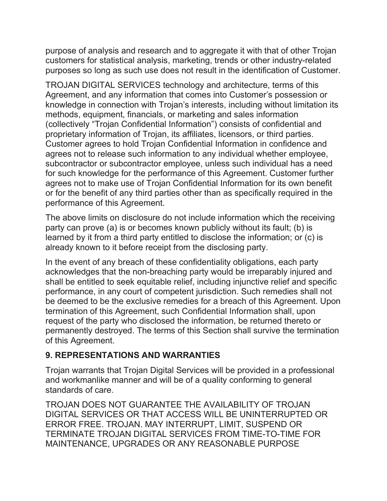purpose of analysis and research and to aggregate it with that of other Trojan customers for statistical analysis, marketing, trends or other industry-related purposes so long as such use does not result in the identification of Customer.

TROJAN DIGITAL SERVICES technology and architecture, terms of this Agreement, and any information that comes into Customer's possession or knowledge in connection with Trojan's interests, including without limitation its methods, equipment, financials, or marketing and sales information (collectively "Trojan Confidential Information") consists of confidential and proprietary information of Trojan, its affiliates, licensors, or third parties. Customer agrees to hold Trojan Confidential Information in confidence and agrees not to release such information to any individual whether employee, subcontractor or subcontractor employee, unless such individual has a need for such knowledge for the performance of this Agreement. Customer further agrees not to make use of Trojan Confidential Information for its own benefit or for the benefit of any third parties other than as specifically required in the performance of this Agreement.

The above limits on disclosure do not include information which the receiving party can prove (a) is or becomes known publicly without its fault; (b) is learned by it from a third party entitled to disclose the information; or (c) is already known to it before receipt from the disclosing party.

In the event of any breach of these confidentiality obligations, each party acknowledges that the non-breaching party would be irreparably injured and shall be entitled to seek equitable relief, including injunctive relief and specific performance, in any court of competent jurisdiction. Such remedies shall not be deemed to be the exclusive remedies for a breach of this Agreement. Upon termination of this Agreement, such Confidential Information shall, upon request of the party who disclosed the information, be returned thereto or permanently destroyed. The terms of this Section shall survive the termination of this Agreement.

#### 9. REPRESENTATIONS AND WARRANTIES

Trojan warrants that Trojan Digital Services will be provided in a professional and workmanlike manner and will be of a quality conforming to general standards of care.

TROJAN DOES NOT GUARANTEE THE AVAILABILITY OF TROJAN DIGITAL SERVICES OR THAT ACCESS WILL BE UNINTERRUPTED OR ERROR FREE. TROJAN. MAY INTERRUPT, LIMIT, SUSPEND OR TERMINATE TROJAN DIGITAL SERVICES FROM TIME-TO-TIME FOR MAINTENANCE, UPGRADES OR ANY REASONABLE PURPOSE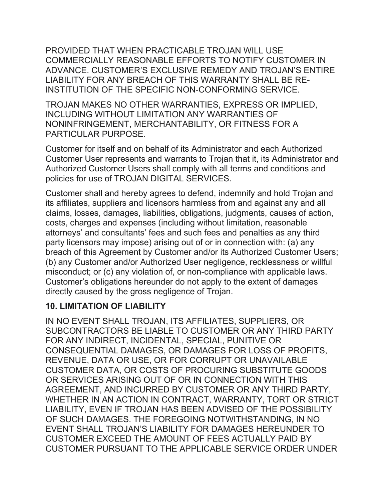PROVIDED THAT WHEN PRACTICABLE TROJAN WILL USE COMMERCIALLY REASONABLE EFFORTS TO NOTIFY CUSTOMER IN ADVANCE. CUSTOMER'S EXCLUSIVE REMEDY AND TROJAN'S ENTIRE LIABILITY FOR ANY BREACH OF THIS WARRANTY SHALL BE RE-INSTITUTION OF THE SPECIFIC NON-CONFORMING SERVICE.

TROJAN MAKES NO OTHER WARRANTIES, EXPRESS OR IMPLIED, INCLUDING WITHOUT LIMITATION ANY WARRANTIES OF NONINFRINGEMENT, MERCHANTABILITY, OR FITNESS FOR A PARTICULAR PURPOSE.

Customer for itself and on behalf of its Administrator and each Authorized Customer User represents and warrants to Trojan that it, its Administrator and Authorized Customer Users shall comply with all terms and conditions and policies for use of TROJAN DIGITAL SERVICES.

Customer shall and hereby agrees to defend, indemnify and hold Trojan and its affiliates, suppliers and licensors harmless from and against any and all claims, losses, damages, liabilities, obligations, judgments, causes of action, costs, charges and expenses (including without limitation, reasonable attorneys' and consultants' fees and such fees and penalties as any third party licensors may impose) arising out of or in connection with: (a) any breach of this Agreement by Customer and/or its Authorized Customer Users; (b) any Customer and/or Authorized User negligence, recklessness or willful misconduct; or (c) any violation of, or non-compliance with applicable laws. Customer's obligations hereunder do not apply to the extent of damages directly caused by the gross negligence of Trojan.

#### 10. LIMITATION OF LIABILITY

IN NO EVENT SHALL TROJAN, ITS AFFILIATES, SUPPLIERS, OR SUBCONTRACTORS BE LIABLE TO CUSTOMER OR ANY THIRD PARTY FOR ANY INDIRECT, INCIDENTAL, SPECIAL, PUNITIVE OR CONSEQUENTIAL DAMAGES, OR DAMAGES FOR LOSS OF PROFITS, REVENUE, DATA OR USE, OR FOR CORRUPT OR UNAVAILABLE CUSTOMER DATA, OR COSTS OF PROCURING SUBSTITUTE GOODS OR SERVICES ARISING OUT OF OR IN CONNECTION WITH THIS AGREEMENT, AND INCURRED BY CUSTOMER OR ANY THIRD PARTY, WHETHER IN AN ACTION IN CONTRACT, WARRANTY, TORT OR STRICT LIABILITY, EVEN IF TROJAN HAS BEEN ADVISED OF THE POSSIBILITY OF SUCH DAMAGES. THE FOREGOING NOTWITHSTANDING, IN NO EVENT SHALL TROJAN'S LIABILITY FOR DAMAGES HEREUNDER TO CUSTOMER EXCEED THE AMOUNT OF FEES ACTUALLY PAID BY CUSTOMER PURSUANT TO THE APPLICABLE SERVICE ORDER UNDER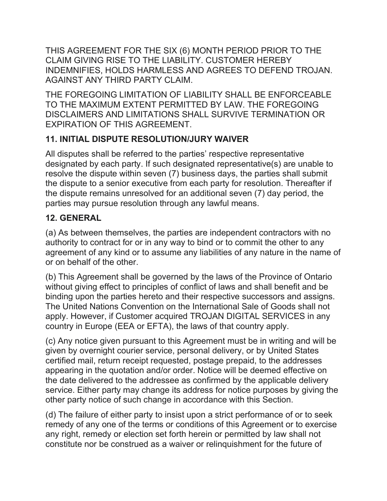THIS AGREEMENT FOR THE SIX (6) MONTH PERIOD PRIOR TO THE CLAIM GIVING RISE TO THE LIABILITY. CUSTOMER HEREBY INDEMNIFIES, HOLDS HARMLESS AND AGREES TO DEFEND TROJAN. AGAINST ANY THIRD PARTY CLAIM.

THE FOREGOING LIMITATION OF LIABILITY SHALL BE ENFORCEABLE TO THE MAXIMUM EXTENT PERMITTED BY LAW. THE FOREGOING DISCLAIMERS AND LIMITATIONS SHALL SURVIVE TERMINATION OR EXPIRATION OF THIS AGREEMENT.

## 11. INITIAL DISPUTE RESOLUTION/JURY WAIVER

All disputes shall be referred to the parties' respective representative designated by each party. If such designated representative(s) are unable to resolve the dispute within seven (7) business days, the parties shall submit the dispute to a senior executive from each party for resolution. Thereafter if the dispute remains unresolved for an additional seven (7) day period, the parties may pursue resolution through any lawful means.

# 12. GENERAL

(a) As between themselves, the parties are independent contractors with no authority to contract for or in any way to bind or to commit the other to any agreement of any kind or to assume any liabilities of any nature in the name of or on behalf of the other.

(b) This Agreement shall be governed by the laws of the Province of Ontario without giving effect to principles of conflict of laws and shall benefit and be binding upon the parties hereto and their respective successors and assigns. The United Nations Convention on the International Sale of Goods shall not apply. However, if Customer acquired TROJAN DIGITAL SERVICES in any country in Europe (EEA or EFTA), the laws of that country apply.

(c) Any notice given pursuant to this Agreement must be in writing and will be given by overnight courier service, personal delivery, or by United States certified mail, return receipt requested, postage prepaid, to the addresses appearing in the quotation and/or order. Notice will be deemed effective on the date delivered to the addressee as confirmed by the applicable delivery service. Either party may change its address for notice purposes by giving the other party notice of such change in accordance with this Section.

(d) The failure of either party to insist upon a strict performance of or to seek remedy of any one of the terms or conditions of this Agreement or to exercise any right, remedy or election set forth herein or permitted by law shall not constitute nor be construed as a waiver or relinquishment for the future of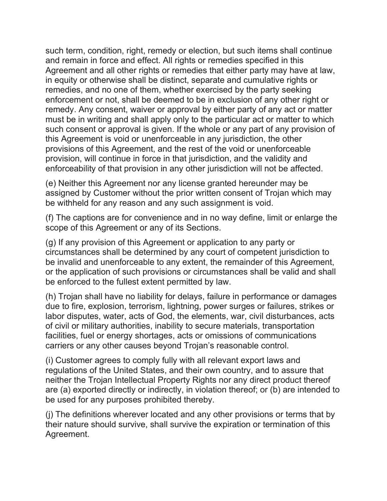such term, condition, right, remedy or election, but such items shall continue and remain in force and effect. All rights or remedies specified in this Agreement and all other rights or remedies that either party may have at law, in equity or otherwise shall be distinct, separate and cumulative rights or remedies, and no one of them, whether exercised by the party seeking enforcement or not, shall be deemed to be in exclusion of any other right or remedy. Any consent, waiver or approval by either party of any act or matter must be in writing and shall apply only to the particular act or matter to which such consent or approval is given. If the whole or any part of any provision of this Agreement is void or unenforceable in any jurisdiction, the other provisions of this Agreement, and the rest of the void or unenforceable provision, will continue in force in that jurisdiction, and the validity and enforceability of that provision in any other jurisdiction will not be affected.

(e) Neither this Agreement nor any license granted hereunder may be assigned by Customer without the prior written consent of Trojan which may be withheld for any reason and any such assignment is void.

(f) The captions are for convenience and in no way define, limit or enlarge the scope of this Agreement or any of its Sections.

(g) If any provision of this Agreement or application to any party or circumstances shall be determined by any court of competent jurisdiction to be invalid and unenforceable to any extent, the remainder of this Agreement, or the application of such provisions or circumstances shall be valid and shall be enforced to the fullest extent permitted by law.

(h) Trojan shall have no liability for delays, failure in performance or damages due to fire, explosion, terrorism, lightning, power surges or failures, strikes or labor disputes, water, acts of God, the elements, war, civil disturbances, acts of civil or military authorities, inability to secure materials, transportation facilities, fuel or energy shortages, acts or omissions of communications carriers or any other causes beyond Trojan's reasonable control.

(i) Customer agrees to comply fully with all relevant export laws and regulations of the United States, and their own country, and to assure that neither the Trojan Intellectual Property Rights nor any direct product thereof are (a) exported directly or indirectly, in violation thereof; or (b) are intended to be used for any purposes prohibited thereby.

(j) The definitions wherever located and any other provisions or terms that by their nature should survive, shall survive the expiration or termination of this Agreement.